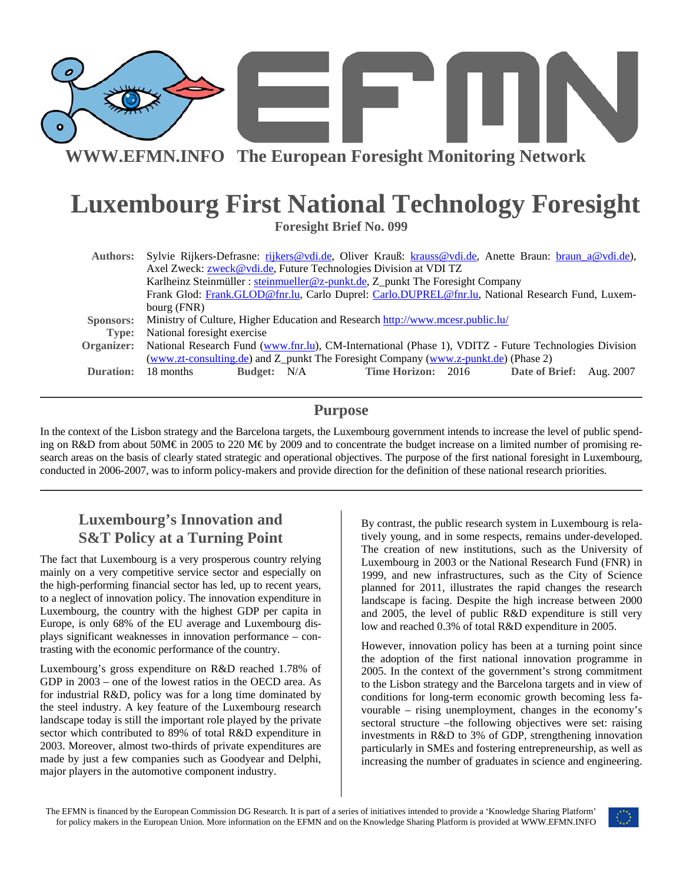

**WWW.EFMN.INFO The European Foresight Monitoring Network**

# **Luxembourg First National Technology Foresight**

**Foresight Brief No. 099** 

| <b>Authors:</b>  | Sylvie Rijkers-Defrasne: rijkers@vdi.de, Oliver Krauß: krauss@vdi.de, Anette Braun: braun a@vdi.de),             |
|------------------|------------------------------------------------------------------------------------------------------------------|
|                  | Axel Zweck: zweck@vdi.de, Future Technologies Division at VDI TZ                                                 |
|                  | Karlheinz Steinmüller : steinmueller@z-punkt.de, Z_punkt The Foresight Company                                   |
|                  | Frank Glod: Frank.GLOD@fnr.lu, Carlo Duprel: Carlo.DUPREL@fnr.lu, National Research Fund, Luxem-                 |
|                  | bourg (FNR)                                                                                                      |
| Sponsors:        | Ministry of Culture, Higher Education and Research http://www.mcesr.public.lu/                                   |
| Type:            | National foresight exercise                                                                                      |
|                  | Organizer: National Research Fund (www.fnr.lu), CM-International (Phase 1), VDITZ - Future Technologies Division |
|                  | (www.zt-consulting.de) and Z_punkt The Foresight Company (www.z-punkt.de) (Phase 2)                              |
| <b>Duration:</b> | <b>Time Horizon: 2016</b><br>Date of Brief: Aug. 2007<br>18 months<br><b>Budget:</b> N/A                         |

### **Purpose**

In the context of the Lisbon strategy and the Barcelona targets, the Luxembourg government intends to increase the level of public spending on R&D from about 50M€ in 2005 to 220 M€ by 2009 and to concentrate the budget increase on a limited number of promising research areas on the basis of clearly stated strategic and operational objectives. The purpose of the first national foresight in Luxembourg, conducted in 2006-2007, was to inform policy-makers and provide direction for the definition of these national research priorities.

# **Luxembourg's Innovation and S&T Policy at a Turning Point**

The fact that Luxembourg is a very prosperous country relying mainly on a very competitive service sector and especially on the high-performing financial sector has led, up to recent years, to a neglect of innovation policy. The innovation expenditure in Luxembourg, the country with the highest GDP per capita in Europe, is only 68% of the EU average and Luxembourg displays significant weaknesses in innovation performance – contrasting with the economic performance of the country.

Luxembourg's gross expenditure on R&D reached 1.78% of GDP in 2003 – one of the lowest ratios in the OECD area. As for industrial R&D, policy was for a long time dominated by the steel industry. A key feature of the Luxembourg research landscape today is still the important role played by the private sector which contributed to 89% of total R&D expenditure in 2003. Moreover, almost two-thirds of private expenditures are made by just a few companies such as Goodyear and Delphi, major players in the automotive component industry.

By contrast, the public research system in Luxembourg is relatively young, and in some respects, remains under-developed. The creation of new institutions, such as the University of Luxembourg in 2003 or the National Research Fund (FNR) in 1999, and new infrastructures, such as the City of Science planned for 2011, illustrates the rapid changes the research landscape is facing. Despite the high increase between 2000 and 2005, the level of public R&D expenditure is still very low and reached 0.3% of total R&D expenditure in 2005.

However, innovation policy has been at a turning point since the adoption of the first national innovation programme in 2005. In the context of the government's strong commitment to the Lisbon strategy and the Barcelona targets and in view of conditions for long-term economic growth becoming less favourable – rising unemployment, changes in the economy's sectoral structure –the following objectives were set: raising investments in R&D to 3% of GDP, strengthening innovation particularly in SMEs and fostering entrepreneurship, as well as increasing the number of graduates in science and engineering.

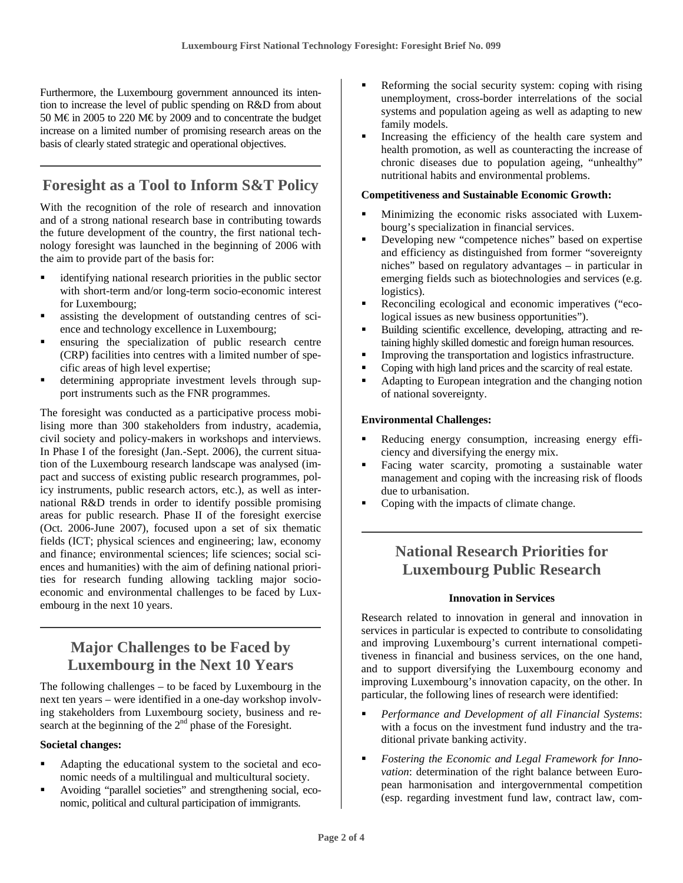Furthermore, the Luxembourg government announced its intention to increase the level of public spending on R&D from about 50 M€ in 2005 to 220 M€ by 2009 and to concentrate the budget increase on a limited number of promising research areas on the basis of clearly stated strategic and operational objectives.

# **Foresight as a Tool to Inform S&T Policy**

With the recognition of the role of research and innovation and of a strong national research base in contributing towards the future development of the country, the first national technology foresight was launched in the beginning of 2006 with the aim to provide part of the basis for:

- identifying national research priorities in the public sector with short-term and/or long-term socio-economic interest for Luxembourg;
- assisting the development of outstanding centres of science and technology excellence in Luxembourg;
- ensuring the specialization of public research centre (CRP) facilities into centres with a limited number of specific areas of high level expertise;
- determining appropriate investment levels through support instruments such as the FNR programmes.

The foresight was conducted as a participative process mobilising more than 300 stakeholders from industry, academia, civil society and policy-makers in workshops and interviews. In Phase I of the foresight (Jan.-Sept. 2006), the current situation of the Luxembourg research landscape was analysed (impact and success of existing public research programmes, policy instruments, public research actors, etc.), as well as international R&D trends in order to identify possible promising areas for public research. Phase II of the foresight exercise (Oct. 2006-June 2007), focused upon a set of six thematic fields (ICT; physical sciences and engineering; law, economy and finance; environmental sciences; life sciences; social sciences and humanities) with the aim of defining national priorities for research funding allowing tackling major socioeconomic and environmental challenges to be faced by Luxembourg in the next 10 years.

## **Major Challenges to be Faced by Luxembourg in the Next 10 Years**

The following challenges – to be faced by Luxembourg in the next ten years – were identified in a one-day workshop involving stakeholders from Luxembourg society, business and research at the beginning of the 2<sup>nd</sup> phase of the Foresight.

#### **Societal changes:**

- Adapting the educational system to the societal and economic needs of a multilingual and multicultural society.
- Avoiding "parallel societies" and strengthening social, economic, political and cultural participation of immigrants.
- Reforming the social security system: coping with rising unemployment, cross-border interrelations of the social systems and population ageing as well as adapting to new family models.
- Increasing the efficiency of the health care system and health promotion, as well as counteracting the increase of chronic diseases due to population ageing, "unhealthy" nutritional habits and environmental problems.

#### **Competitiveness and Sustainable Economic Growth:**

- Minimizing the economic risks associated with Luxembourg's specialization in financial services.
- Developing new "competence niches" based on expertise and efficiency as distinguished from former "sovereignty niches" based on regulatory advantages – in particular in emerging fields such as biotechnologies and services (e.g. logistics).
- Reconciling ecological and economic imperatives ("ecological issues as new business opportunities").
- Building scientific excellence, developing, attracting and retaining highly skilled domestic and foreign human resources.
- Improving the transportation and logistics infrastructure.
- Coping with high land prices and the scarcity of real estate.
- Adapting to European integration and the changing notion of national sovereignty.

#### **Environmental Challenges:**

- Reducing energy consumption, increasing energy efficiency and diversifying the energy mix.
- Facing water scarcity, promoting a sustainable water management and coping with the increasing risk of floods due to urbanisation.
- Coping with the impacts of climate change.

## **National Research Priorities for Luxembourg Public Research**

#### **Innovation in Services**

Research related to innovation in general and innovation in services in particular is expected to contribute to consolidating and improving Luxembourg's current international competitiveness in financial and business services, on the one hand, and to support diversifying the Luxembourg economy and improving Luxembourg's innovation capacity, on the other. In particular, the following lines of research were identified:

- *Performance and Development of all Financial Systems*: with a focus on the investment fund industry and the traditional private banking activity.
- *Fostering the Economic and Legal Framework for Innovation*: determination of the right balance between European harmonisation and intergovernmental competition (esp. regarding investment fund law, contract law, com-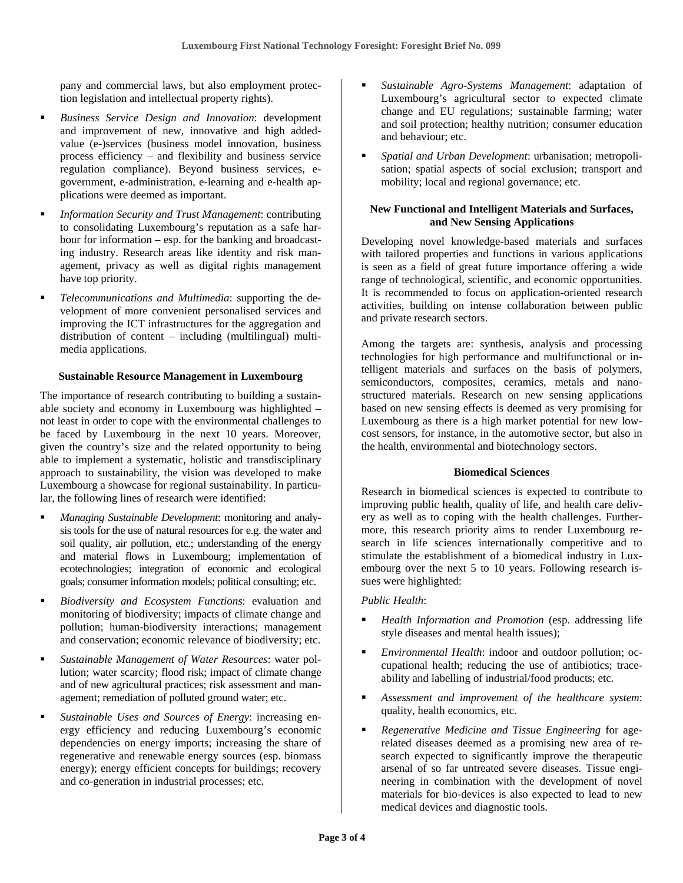pany and commercial laws, but also employment protection legislation and intellectual property rights).

- *Business Service Design and Innovation*: development and improvement of new, innovative and high addedvalue (e-)services (business model innovation, business process efficiency – and flexibility and business service regulation compliance). Beyond business services, egovernment, e-administration, e-learning and e-health applications were deemed as important.
- *Information Security and Trust Management*: contributing to consolidating Luxembourg's reputation as a safe harbour for information – esp. for the banking and broadcasting industry. Research areas like identity and risk management, privacy as well as digital rights management have top priority.
- *Telecommunications and Multimedia*: supporting the development of more convenient personalised services and improving the ICT infrastructures for the aggregation and distribution of content – including (multilingual) multimedia applications.

#### **Sustainable Resource Management in Luxembourg**

The importance of research contributing to building a sustainable society and economy in Luxembourg was highlighted – not least in order to cope with the environmental challenges to be faced by Luxembourg in the next 10 years. Moreover, given the country's size and the related opportunity to being able to implement a systematic, holistic and transdisciplinary approach to sustainability, the vision was developed to make Luxembourg a showcase for regional sustainability. In particular, the following lines of research were identified:

- *Managing Sustainable Development*: monitoring and analysis tools for the use of natural resources for e.g. the water and soil quality, air pollution, etc.; understanding of the energy and material flows in Luxembourg; implementation of ecotechnologies; integration of economic and ecological goals; consumer information models; political consulting; etc.
- *Biodiversity and Ecosystem Functions*: evaluation and monitoring of biodiversity; impacts of climate change and pollution; human-biodiversity interactions; management and conservation; economic relevance of biodiversity; etc.
- *Sustainable Management of Water Resources*: water pollution; water scarcity; flood risk; impact of climate change and of new agricultural practices; risk assessment and management; remediation of polluted ground water; etc.
- *Sustainable Uses and Sources of Energy*: increasing energy efficiency and reducing Luxembourg's economic dependencies on energy imports; increasing the share of regenerative and renewable energy sources (esp. biomass energy); energy efficient concepts for buildings; recovery and co-generation in industrial processes; etc.
- *Sustainable Agro-Systems Management*: adaptation of Luxembourg's agricultural sector to expected climate change and EU regulations; sustainable farming; water and soil protection; healthy nutrition; consumer education and behaviour; etc.
- *Spatial and Urban Development*: urbanisation; metropolisation; spatial aspects of social exclusion; transport and mobility; local and regional governance; etc.

#### **New Functional and Intelligent Materials and Surfaces, and New Sensing Applications**

Developing novel knowledge-based materials and surfaces with tailored properties and functions in various applications is seen as a field of great future importance offering a wide range of technological, scientific, and economic opportunities. It is recommended to focus on application-oriented research activities, building on intense collaboration between public and private research sectors.

Among the targets are: synthesis, analysis and processing technologies for high performance and multifunctional or intelligent materials and surfaces on the basis of polymers, semiconductors, composites, ceramics, metals and nanostructured materials. Research on new sensing applications based on new sensing effects is deemed as very promising for Luxembourg as there is a high market potential for new lowcost sensors, for instance, in the automotive sector, but also in the health, environmental and biotechnology sectors.

#### **Biomedical Sciences**

Research in biomedical sciences is expected to contribute to improving public health, quality of life, and health care delivery as well as to coping with the health challenges. Furthermore, this research priority aims to render Luxembourg research in life sciences internationally competitive and to stimulate the establishment of a biomedical industry in Luxembourg over the next 5 to 10 years. Following research issues were highlighted:

#### *Public Health*:

- *Health Information and Promotion* (esp. addressing life style diseases and mental health issues);
- *Environmental Health*: indoor and outdoor pollution; occupational health; reducing the use of antibiotics; traceability and labelling of industrial/food products; etc.
- *Assessment and improvement of the healthcare system*: quality, health economics, etc.
- *Regenerative Medicine and Tissue Engineering* for agerelated diseases deemed as a promising new area of research expected to significantly improve the therapeutic arsenal of so far untreated severe diseases. Tissue engineering in combination with the development of novel materials for bio-devices is also expected to lead to new medical devices and diagnostic tools.